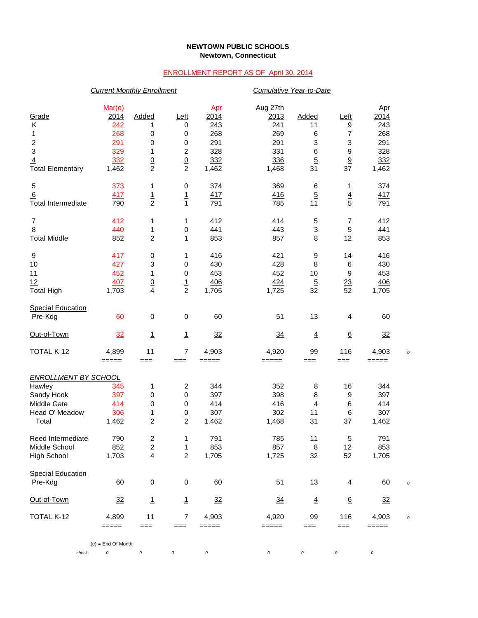## **NEWTOWN PUBLIC SCHOOLS Newtown, Connecticut**

## ENROLLMENT REPORT AS OF April 30, 2014

|                             | <b>Current Monthly Enrollment</b> |                          |                  |          | Cumulative Year-to-Date |                |                  |       |  |
|-----------------------------|-----------------------------------|--------------------------|------------------|----------|-------------------------|----------------|------------------|-------|--|
|                             | Mar(e)                            |                          |                  | Apr      | Aug 27th                |                |                  | Apr   |  |
| Grade                       | 2014                              | Added                    | Left             | 2014     | 2013                    | Added          | <u>Left</u>      | 2014  |  |
| Κ                           | 242                               | 1                        | 0                | 243      | 241                     | 11             | 9                | 243   |  |
| 1                           | 268                               | 0                        | 0                | 268      | 269                     | 6              | 7                | 268   |  |
|                             | 291                               | 0                        | 0                | 291      | 291                     | 3              | 3                | 291   |  |
| $\frac{2}{3}$               | 329                               | 1                        | $\boldsymbol{2}$ | 328      | 331                     | 6              | 9                | 328   |  |
| $\overline{4}$              | 332                               |                          |                  | 332      | 336                     | $\overline{5}$ |                  | 332   |  |
| <b>Total Elementary</b>     | 1,462                             | $\frac{0}{2}$            | $\frac{0}{2}$    | 1,462    | 1,468                   | 31             | $\frac{9}{37}$   | 1,462 |  |
| 5                           | 373                               | 1                        | 0                | 374      | 369                     | 6              | 1                | 374   |  |
| 6                           | 417                               | $\frac{1}{2}$            | $\frac{1}{1}$    | 417      | <u>416</u>              | $\overline{5}$ | $\frac{4}{5}$    | 417   |  |
| <b>Total Intermediate</b>   | 790                               |                          |                  | 791      | 785                     | 11             |                  | 791   |  |
| $\overline{7}$              | 412                               | 1                        | 1                | 412      | 414                     | 5              | 7                | 412   |  |
| $\overline{8}$              | 440                               | $\frac{1}{2}$            | $\underline{0}$  | 441      | 443                     | $\frac{3}{8}$  | $\overline{5}$   | 441   |  |
| <b>Total Middle</b>         | 852                               |                          | $\mathbf{1}$     | 853      | 857                     |                | 12               | 853   |  |
| 9                           | 417                               | 0                        | 1                | 416      | 421                     | 9              | 14               | 416   |  |
| 10                          | 427                               | 3                        | 0                | 430      | 428                     | 8              | 6                | 430   |  |
| 11                          | 452                               | $\mathbf 1$              | 0                | 453      | 452                     | 10             | 9                | 453   |  |
| 12                          | 407                               | $\frac{0}{4}$            | $\frac{1}{2}$    | 406      | <u>424</u>              | $\overline{5}$ | $\overline{23}$  | 406   |  |
| <b>Total High</b>           | 1,703                             |                          |                  | 1,705    | 1,725                   | 32             | 52               | 1,705 |  |
| <b>Special Education</b>    |                                   |                          |                  |          |                         |                |                  |       |  |
| Pre-Kdg                     | 60                                | 0                        | 0                | 60       | 51                      | 13             | 4                | 60    |  |
| Out-of-Town                 | 32                                | <u>1</u>                 | $\mathbf{1}$     | 32       | $\frac{34}{5}$          | $\overline{4}$ | $6 \overline{6}$ | 32    |  |
| TOTAL K-12                  | 4,899                             | 11                       | 7                | 4,903    | 4,920                   | 99             | 116              | 4,903 |  |
|                             | =====                             | $==$                     | $==$             | $=====$  | =====                   | ===            | $==$             | ===== |  |
| <b>ENROLLMENT BY SCHOOL</b> |                                   |                          |                  |          |                         |                |                  |       |  |
| Hawley                      | 345                               | 1                        | $\boldsymbol{2}$ | 344      | 352                     | 8              | 16               | 344   |  |
| Sandy Hook                  | 397                               | 0                        | 0                | 397      | 398                     | 8              | 9                | 397   |  |
| Middle Gate                 | 414                               | 0                        | 0                | 414      | 416                     | 4              | 6                | 414   |  |
| <b>Head O' Meadow</b>       | 306                               | $\frac{1}{2}$            | $\underline{0}$  | 307      | 302                     | <u>11</u>      | $\underline{6}$  | 307   |  |
| Total                       | 1,462                             |                          | $\overline{c}$   | 1,462    | 1,468                   | 31             | 37               | 1,462 |  |
| Reed Intermediate           | 790                               | $\boldsymbol{2}$         | 1                | 791      | 785                     | 11             | 5                | 791   |  |
| Middle School               | 852                               | 2                        | 1                | 853      | 857                     | 8              | 12               | 853   |  |
| <b>High School</b>          | 1,703                             | 4                        | $\overline{c}$   | 1,705    | 1,725                   | 32             | 52               | 1,705 |  |
| <b>Special Education</b>    |                                   |                          |                  |          |                         |                |                  |       |  |
| Pre-Kdg                     | 60                                | $\pmb{0}$                | $\,0\,$          | 60       | 51                      | 13             | 4                | 60    |  |
| Out-of-Town                 | 32                                | $\underline{\mathbf{1}}$ | $\mathbf{1}$     | 32       | $\frac{34}{5}$          | $\overline{4}$ | <u>6</u>         | 32    |  |
| TOTAL K-12                  | 4,899                             | 11                       | 7                | 4,903    | 4,920                   | 99             | 116              | 4,903 |  |
|                             | =====                             | ===                      | $==$             | =====    | =====                   | ===            | $==$             | ===== |  |
|                             | $(e)$ = End Of Month              |                          |                  |          |                         |                |                  |       |  |
| check                       | 0                                 | 0                        | 0                | $\cal O$ | 0                       | 0              | $\cal O$         | 0     |  |